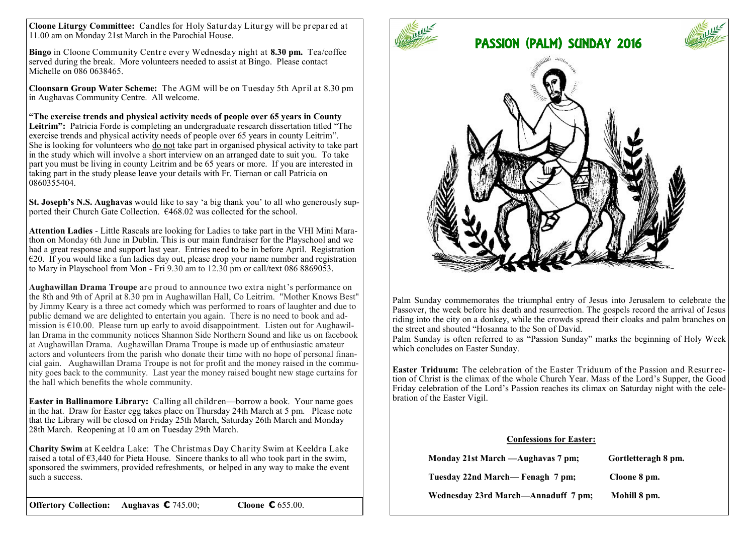**Cloone Liturgy Committee:** Candles for Holy Saturday Liturgy will be prepared at 11.00 am on Monday 21st March in the Parochial House.

**Bingo** in Cloone Community Centre every Wednesday night at **8.30 pm.** Tea/coffee served during the break. More volunteers needed to assist at Bingo. Please contact Michelle on 086 0638465.

**Cloonsarn Group Water Scheme:** The AGM will be on Tuesday 5th April at 8.30 pm in Aughavas Community Centre. All welcome.

**"The exercise trends and physical activity needs of people over 65 years in County Leitrim":** Patricia Forde is completing an undergraduate research dissertation titled "The exercise trends and physical activity needs of people over 65 years in county Leitrim". She is looking for volunteers who do not take part in organised physical activity to take part in the study which will involve a short interview on an arranged date to suit you. To take part you must be living in county Leitrim and be 65 years or more. If you are interested in taking part in the study please leave your details with Fr. Tiernan or call Patricia on 0860355404.

**St. Joseph's N.S. Aughavas** would like to say 'a big thank you' to all who generously supported their Church Gate Collection.  $\epsilon$ 468.02 was collected for the school.

**Attention Ladies** - Little Rascals are looking for Ladies to take part in the VHI Mini Marathon on Monday 6th June in Dublin. This is our main fundraiser for the Playschool and we had a great response and support last year. Entries need to be in before April. Registration  $\epsilon$ 20. If you would like a fun ladies day out, please drop your name number and registration to Mary in Playschool from Mon - Fri 9.30 am to 12.30 pm or call/text [086 8869053.](tel:086%208869053) 

**Aughawillan Drama Troupe** are proud to announce two extra night's performance on the 8th and 9th of April at 8.30 pm in Aughawillan Hall, Co Leitrim. "Mother Knows Best" by Jimmy Keary is a three act comedy which was performed to roars of laughter and due to public demand we are delighted to entertain you again. There is no need to book and admission is  $€10.00$ . Please turn up early to avoid disappointment. Listen out for Aughawillan Drama in the community notices Shannon Side Northern Sound and like us on facebook at Aughawillan Drama. Aughawillan Drama Troupe is made up of enthusiastic amateur actors and volunteers from the parish who donate their time with no hope of personal financial gain. Aughawillan Drama Troupe is not for profit and the money raised in the community goes back to the community. Last year the money raised bought new stage curtains for the hall which benefits the whole community.

**Easter in Ballinamore Library:** Calling all children—borrow a book. Your name goes in the hat. Draw for Easter egg takes place on Thursday 24th March at 5 pm. Please note that the Library will be closed on Friday 25th March, Saturday 26th March and Monday 28th March. Reopening at 10 am on Tuesday 29th March.

**Charity Swim** at Keeldra Lake: The Christmas Day Charity Swim at Keeldra Lake raised a total of  $63,440$  for Pieta House. Sincere thanks to all who took part in the swim, sponsored the swimmers, provided refreshments, or helped in any way to make the event such a success.

**Offertory Collection: Aughavas €** 745.00; **Cloone €** 655.00.



Palm Sunday commemorates the triumphal entry of Jesus into Jerusalem to celebrate the Passover, the week before his death and resurrection. The gospels record the arrival of Jesus riding into the city on a donkey, while the crowds spread their cloaks and palm branches on the street and shouted "Hosanna to the Son of David.

Palm Sunday is often referred to as "Passion Sunday" marks the beginning of Holy Week which concludes on Easter Sunday.

**Easter Triduum:** The celebration of the Easter Triduum of the Passion and Resurrection of Christ is the climax of the whole Church Year. Mass of the Lord's Supper, the Good Friday celebration of the Lord's Passion reaches its climax on Saturday night with the celebration of the Easter Vigil.

## **Confessions for Easter:**

| Monday 21st March — Aughavas 7 pm;  | Gortletteragh 8 pm. |
|-------------------------------------|---------------------|
| Tuesday 22nd March— Fenagh 7 pm;    | Cloone 8 pm.        |
| Wednesday 23rd March—Annaduff 7 pm; | Mohill 8 pm.        |